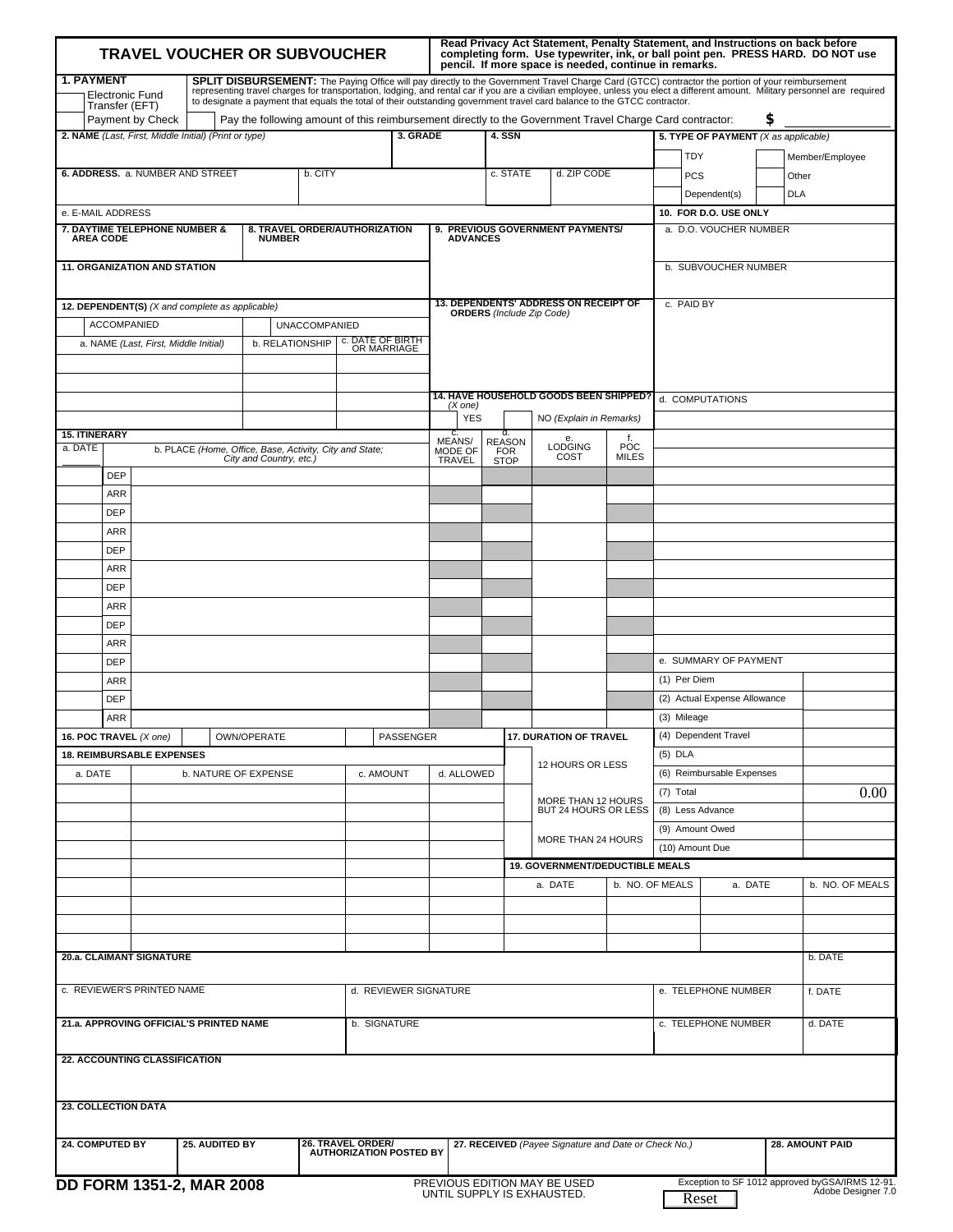| <b>TRAVEL VOUCHER OR SUBVOUCHER</b>                                                             |  |  |                                                                                                                                                                                                                                      |                      | Read Privacy Act Statement, Penalty Statement, and Instructions on back before<br>completing form. Use typewriter, ink, or ball point pen. PRESS HARD. DO NOT use<br>pencil. If more space is needed, continue in remarks.<br>SPLIT DISBURSEMENT: The Paying Office will pay directly to the Government Travel Charge Card (GTCC) contractor the portion of your reimbursement |             |                                                                                  |                                            |  |                                            |                      |                        |                                      |    |                                                                                                                                                                              |
|-------------------------------------------------------------------------------------------------|--|--|--------------------------------------------------------------------------------------------------------------------------------------------------------------------------------------------------------------------------------------|----------------------|--------------------------------------------------------------------------------------------------------------------------------------------------------------------------------------------------------------------------------------------------------------------------------------------------------------------------------------------------------------------------------|-------------|----------------------------------------------------------------------------------|--------------------------------------------|--|--------------------------------------------|----------------------|------------------------|--------------------------------------|----|------------------------------------------------------------------------------------------------------------------------------------------------------------------------------|
| <b>1. PAYMENT</b><br><b>Electronic Fund</b><br>Transfer (EFT)<br>Payment by Check               |  |  | to designate a payment that equals the total of their outstanding government travel card balance to the GTCC contractor.<br>Pay the following amount of this reimbursement directly to the Government Travel Charge Card contractor: |                      |                                                                                                                                                                                                                                                                                                                                                                                |             |                                                                                  |                                            |  |                                            |                      |                        |                                      | \$ | representing travel charges for transportation, lodging, and rental car if you are a civilian employee, unless you elect a different amount. Military personnel are required |
| 2. NAME (Last, First, Middle Initial) (Print or type)                                           |  |  |                                                                                                                                                                                                                                      |                      |                                                                                                                                                                                                                                                                                                                                                                                | 3. GRADE    |                                                                                  | 4. SSN                                     |  |                                            |                      |                        | 5. TYPE OF PAYMENT (X as applicable) |    |                                                                                                                                                                              |
|                                                                                                 |  |  |                                                                                                                                                                                                                                      |                      |                                                                                                                                                                                                                                                                                                                                                                                |             | <b>TDY</b>                                                                       |                                            |  | Member/Employee                            |                      |                        |                                      |    |                                                                                                                                                                              |
| 6. ADDRESS. a. NUMBER AND STREET<br>b. CITY                                                     |  |  |                                                                                                                                                                                                                                      |                      | c. STATE                                                                                                                                                                                                                                                                                                                                                                       | d. ZIP CODE |                                                                                  | <b>PCS</b>                                 |  |                                            | Other                |                        |                                      |    |                                                                                                                                                                              |
|                                                                                                 |  |  |                                                                                                                                                                                                                                      |                      |                                                                                                                                                                                                                                                                                                                                                                                |             |                                                                                  |                                            |  |                                            |                      |                        | Dependent(s)                         |    | <b>DLA</b>                                                                                                                                                                   |
| e. E-MAIL ADDRESS                                                                               |  |  |                                                                                                                                                                                                                                      |                      |                                                                                                                                                                                                                                                                                                                                                                                |             |                                                                                  |                                            |  |                                            |                      |                        | 10. FOR D.O. USE ONLY                |    |                                                                                                                                                                              |
| 7. DAYTIME TELEPHONE NUMBER &<br><b>AREA CODE</b>                                               |  |  | <b>NUMBER</b>                                                                                                                                                                                                                        |                      | 8. TRAVEL ORDER/AUTHORIZATION                                                                                                                                                                                                                                                                                                                                                  |             | <b>ADVANCES</b>                                                                  |                                            |  | 9. PREVIOUS GOVERNMENT PAYMENTS/           |                      |                        | a. D.O. VOUCHER NUMBER               |    |                                                                                                                                                                              |
| <b>11. ORGANIZATION AND STATION</b>                                                             |  |  |                                                                                                                                                                                                                                      |                      |                                                                                                                                                                                                                                                                                                                                                                                |             |                                                                                  |                                            |  |                                            |                      |                        | b. SUBVOUCHER NUMBER                 |    |                                                                                                                                                                              |
| 12. DEPENDENT(S) (X and complete as applicable)                                                 |  |  |                                                                                                                                                                                                                                      |                      |                                                                                                                                                                                                                                                                                                                                                                                |             | <b>13. DEPENDENTS' ADDRESS ON RECEIPT OF</b><br><b>ORDERS</b> (Include Zip Code) |                                            |  |                                            | c. PAID BY           |                        |                                      |    |                                                                                                                                                                              |
| <b>ACCOMPANIED</b>                                                                              |  |  |                                                                                                                                                                                                                                      | <b>UNACCOMPANIED</b> |                                                                                                                                                                                                                                                                                                                                                                                |             |                                                                                  |                                            |  |                                            |                      |                        |                                      |    |                                                                                                                                                                              |
| c. DATE OF BIRTH<br>OR MARRIAGE<br>b. RELATIONSHIP<br>a. NAME (Last, First, Middle Initial)     |  |  |                                                                                                                                                                                                                                      |                      |                                                                                                                                                                                                                                                                                                                                                                                |             |                                                                                  |                                            |  |                                            |                      |                        |                                      |    |                                                                                                                                                                              |
|                                                                                                 |  |  |                                                                                                                                                                                                                                      |                      |                                                                                                                                                                                                                                                                                                                                                                                |             |                                                                                  |                                            |  | 14. HAVE HOUSEHOLD GOODS BEEN SHIPPED?     |                      |                        | d. COMPUTATIONS                      |    |                                                                                                                                                                              |
|                                                                                                 |  |  |                                                                                                                                                                                                                                      |                      |                                                                                                                                                                                                                                                                                                                                                                                |             | $(X$ one)<br><b>YES</b>                                                          |                                            |  | NO (Explain in Remarks)                    |                      |                        |                                      |    |                                                                                                                                                                              |
| <b>15. ITINERARY</b>                                                                            |  |  |                                                                                                                                                                                                                                      |                      |                                                                                                                                                                                                                                                                                                                                                                                |             | c.                                                                               | d.                                         |  |                                            | f.                   |                        |                                      |    |                                                                                                                                                                              |
| a. DATE                                                                                         |  |  | b. PLACE (Home, Office, Base, Activity, City and State;<br>City and Country, etc.)                                                                                                                                                   |                      |                                                                                                                                                                                                                                                                                                                                                                                |             | MEANS/<br>MODE OF<br><b>TRAVEL</b>                                               | <b>REASON</b><br><b>FOR</b><br><b>STOP</b> |  | <b>LODGING</b><br>COST                     | POC<br><b>MILES</b>  |                        |                                      |    |                                                                                                                                                                              |
| <b>DEP</b>                                                                                      |  |  |                                                                                                                                                                                                                                      |                      |                                                                                                                                                                                                                                                                                                                                                                                |             |                                                                                  |                                            |  |                                            |                      |                        |                                      |    |                                                                                                                                                                              |
| <b>ARR</b>                                                                                      |  |  |                                                                                                                                                                                                                                      |                      |                                                                                                                                                                                                                                                                                                                                                                                |             |                                                                                  |                                            |  |                                            |                      |                        |                                      |    |                                                                                                                                                                              |
| <b>DEP</b>                                                                                      |  |  |                                                                                                                                                                                                                                      |                      |                                                                                                                                                                                                                                                                                                                                                                                |             |                                                                                  |                                            |  |                                            |                      |                        |                                      |    |                                                                                                                                                                              |
| <b>ARR</b>                                                                                      |  |  |                                                                                                                                                                                                                                      |                      |                                                                                                                                                                                                                                                                                                                                                                                |             |                                                                                  |                                            |  |                                            |                      |                        |                                      |    |                                                                                                                                                                              |
| <b>DEP</b>                                                                                      |  |  |                                                                                                                                                                                                                                      |                      |                                                                                                                                                                                                                                                                                                                                                                                |             |                                                                                  |                                            |  |                                            |                      |                        |                                      |    |                                                                                                                                                                              |
| <b>ARR</b><br><b>DEP</b>                                                                        |  |  |                                                                                                                                                                                                                                      |                      |                                                                                                                                                                                                                                                                                                                                                                                |             |                                                                                  |                                            |  |                                            |                      |                        |                                      |    |                                                                                                                                                                              |
| <b>ARR</b>                                                                                      |  |  |                                                                                                                                                                                                                                      |                      |                                                                                                                                                                                                                                                                                                                                                                                |             |                                                                                  |                                            |  |                                            |                      |                        |                                      |    |                                                                                                                                                                              |
| <b>DEP</b>                                                                                      |  |  |                                                                                                                                                                                                                                      |                      |                                                                                                                                                                                                                                                                                                                                                                                |             |                                                                                  |                                            |  |                                            |                      |                        |                                      |    |                                                                                                                                                                              |
| <b>ARR</b>                                                                                      |  |  |                                                                                                                                                                                                                                      |                      |                                                                                                                                                                                                                                                                                                                                                                                |             |                                                                                  |                                            |  |                                            |                      |                        |                                      |    |                                                                                                                                                                              |
| <b>DEP</b>                                                                                      |  |  |                                                                                                                                                                                                                                      |                      |                                                                                                                                                                                                                                                                                                                                                                                |             |                                                                                  |                                            |  |                                            |                      |                        | e. SUMMARY OF PAYMENT                |    |                                                                                                                                                                              |
| <b>ARR</b>                                                                                      |  |  |                                                                                                                                                                                                                                      |                      |                                                                                                                                                                                                                                                                                                                                                                                |             |                                                                                  |                                            |  |                                            |                      | (1) Per Diem           |                                      |    |                                                                                                                                                                              |
| <b>DEP</b>                                                                                      |  |  |                                                                                                                                                                                                                                      |                      |                                                                                                                                                                                                                                                                                                                                                                                |             |                                                                                  |                                            |  |                                            |                      |                        | (2) Actual Expense Allowance         |    |                                                                                                                                                                              |
| <b>ARR</b>                                                                                      |  |  |                                                                                                                                                                                                                                      |                      |                                                                                                                                                                                                                                                                                                                                                                                |             |                                                                                  |                                            |  |                                            |                      | (3) Mileage            |                                      |    |                                                                                                                                                                              |
| 16. POC TRAVEL $(X \text{ one})$                                                                |  |  | OWN/OPERATE                                                                                                                                                                                                                          |                      |                                                                                                                                                                                                                                                                                                                                                                                | PASSENGER   |                                                                                  | <b>17. DURATION OF TRAVEL</b>              |  |                                            | (4) Dependent Travel |                        |                                      |    |                                                                                                                                                                              |
| <b>18. REIMBURSABLE EXPENSES</b>                                                                |  |  |                                                                                                                                                                                                                                      |                      |                                                                                                                                                                                                                                                                                                                                                                                |             |                                                                                  | 12 HOURS OR LESS                           |  |                                            | $(5)$ DLA            |                        |                                      |    |                                                                                                                                                                              |
| a. DATE                                                                                         |  |  | b. NATURE OF EXPENSE                                                                                                                                                                                                                 |                      | c. AMOUNT                                                                                                                                                                                                                                                                                                                                                                      |             | d. ALLOWED                                                                       |                                            |  |                                            |                      |                        | (6) Reimbursable Expenses            |    |                                                                                                                                                                              |
|                                                                                                 |  |  |                                                                                                                                                                                                                                      |                      |                                                                                                                                                                                                                                                                                                                                                                                |             |                                                                                  | MORE THAN 12 HOURS<br>BUT 24 HOURS OR LESS |  | (7) Total                                  |                      | 0.00                   |                                      |    |                                                                                                                                                                              |
|                                                                                                 |  |  |                                                                                                                                                                                                                                      |                      |                                                                                                                                                                                                                                                                                                                                                                                |             |                                                                                  |                                            |  | (8) Less Advance                           |                      |                        |                                      |    |                                                                                                                                                                              |
|                                                                                                 |  |  |                                                                                                                                                                                                                                      |                      |                                                                                                                                                                                                                                                                                                                                                                                |             |                                                                                  |                                            |  | MORE THAN 24 HOURS                         |                      | (9) Amount Owed        |                                      |    |                                                                                                                                                                              |
|                                                                                                 |  |  |                                                                                                                                                                                                                                      |                      |                                                                                                                                                                                                                                                                                                                                                                                |             |                                                                                  |                                            |  |                                            |                      | (10) Amount Due        |                                      |    |                                                                                                                                                                              |
|                                                                                                 |  |  |                                                                                                                                                                                                                                      |                      |                                                                                                                                                                                                                                                                                                                                                                                |             |                                                                                  |                                            |  | 19. GOVERNMENT/DEDUCTIBLE MEALS<br>a. DATE |                      | b. NO. OF MEALS        | a. DATE                              |    | b. NO. OF MEALS                                                                                                                                                              |
|                                                                                                 |  |  |                                                                                                                                                                                                                                      |                      |                                                                                                                                                                                                                                                                                                                                                                                |             |                                                                                  |                                            |  |                                            |                      |                        |                                      |    |                                                                                                                                                                              |
|                                                                                                 |  |  |                                                                                                                                                                                                                                      |                      |                                                                                                                                                                                                                                                                                                                                                                                |             |                                                                                  |                                            |  |                                            |                      |                        |                                      |    |                                                                                                                                                                              |
|                                                                                                 |  |  |                                                                                                                                                                                                                                      |                      |                                                                                                                                                                                                                                                                                                                                                                                |             |                                                                                  |                                            |  |                                            |                      |                        |                                      |    |                                                                                                                                                                              |
| 20.a. CLAIMANT SIGNATURE                                                                        |  |  |                                                                                                                                                                                                                                      |                      |                                                                                                                                                                                                                                                                                                                                                                                |             |                                                                                  |                                            |  |                                            |                      |                        |                                      |    | b. DATE                                                                                                                                                                      |
| c. REVIEWER'S PRINTED NAME<br>d. REVIEWER SIGNATURE                                             |  |  |                                                                                                                                                                                                                                      |                      |                                                                                                                                                                                                                                                                                                                                                                                |             |                                                                                  | e. TELEPHONE NUMBER                        |  | f. DATE                                    |                      |                        |                                      |    |                                                                                                                                                                              |
| 21.a. APPROVING OFFICIAL'S PRINTED NAME<br>b. SIGNATURE                                         |  |  |                                                                                                                                                                                                                                      |                      |                                                                                                                                                                                                                                                                                                                                                                                |             |                                                                                  | c. TELEPHONE NUMBER                        |  |                                            | d. DATE              |                        |                                      |    |                                                                                                                                                                              |
| <b>22. ACCOUNTING CLASSIFICATION</b>                                                            |  |  |                                                                                                                                                                                                                                      |                      |                                                                                                                                                                                                                                                                                                                                                                                |             |                                                                                  |                                            |  |                                            |                      |                        |                                      |    |                                                                                                                                                                              |
|                                                                                                 |  |  |                                                                                                                                                                                                                                      |                      |                                                                                                                                                                                                                                                                                                                                                                                |             |                                                                                  |                                            |  |                                            |                      |                        |                                      |    |                                                                                                                                                                              |
| <b>23. COLLECTION DATA</b>                                                                      |  |  |                                                                                                                                                                                                                                      |                      |                                                                                                                                                                                                                                                                                                                                                                                |             |                                                                                  |                                            |  |                                            |                      |                        |                                      |    |                                                                                                                                                                              |
| 26. TRAVEL ORDER/<br><b>24. COMPUTED BY</b><br>25. AUDITED BY<br><b>AUTHORIZATION POSTED BY</b> |  |  |                                                                                                                                                                                                                                      |                      |                                                                                                                                                                                                                                                                                                                                                                                |             | 27. RECEIVED (Payee Signature and Date or Check No.)                             |                                            |  |                                            |                      | <b>28. AMOUNT PAID</b> |                                      |    |                                                                                                                                                                              |
| <b>DD FORM 1351-2, MAR 2008</b>                                                                 |  |  |                                                                                                                                                                                                                                      |                      |                                                                                                                                                                                                                                                                                                                                                                                |             | PREVIOUS EDITION MAY BE USED                                                     |                                            |  |                                            |                      |                        |                                      |    | Exception to SF 1012 approved byGSA/IRMS 12-91.                                                                                                                              |
|                                                                                                 |  |  |                                                                                                                                                                                                                                      |                      |                                                                                                                                                                                                                                                                                                                                                                                |             | UNTIL SUPPLY IS EXHAUSTED.                                                       |                                            |  |                                            |                      |                        | Reset                                |    | Ádobe Designer 7.0                                                                                                                                                           |